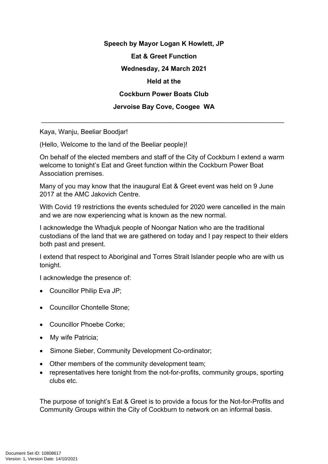## **Speech by Mayor Logan K Howlett, JP Eat & Greet Function Wednesday, 24 March 2021 Held at the Cockburn Power Boats Club Jervoise Bay Cove, Coogee WA**

Kaya, Wanju, Beeliar Boodjar!

(Hello, Welcome to the land of the Beeliar people)!

On behalf of the elected members and staff of the City of Cockburn I extend a warm welcome to tonight's Eat and Greet function within the Cockburn Power Boat Association premises.

\_\_\_\_\_\_\_\_\_\_\_\_\_\_\_\_\_\_\_\_\_\_\_\_\_\_\_\_\_\_\_\_\_\_\_\_\_\_\_\_\_\_\_\_\_\_\_\_\_\_\_\_\_\_\_\_\_\_\_\_\_\_\_\_\_\_

Many of you may know that the inaugural Eat & Greet event was held on 9 June 2017 at the AMC Jakovich Centre.

With Covid 19 restrictions the events scheduled for 2020 were cancelled in the main and we are now experiencing what is known as the new normal.

I acknowledge the Whadjuk people of Noongar Nation who are the traditional custodians of the land that we are gathered on today and I pay respect to their elders both past and present.

I extend that respect to Aboriginal and Torres Strait Islander people who are with us tonight.

I acknowledge the presence of:

- Councillor Philip Eva JP;
- Councillor Chontelle Stone;
- Councillor Phoebe Corke;
- My wife Patricia:
- Simone Sieber, Community Development Co-ordinator;
- Other members of the community development team;
- representatives here tonight from the not-for-profits, community groups, sporting clubs etc.

The purpose of tonight's Eat & Greet is to provide a focus for the Not-for-Profits and Community Groups within the City of Cockburn to network on an informal basis.